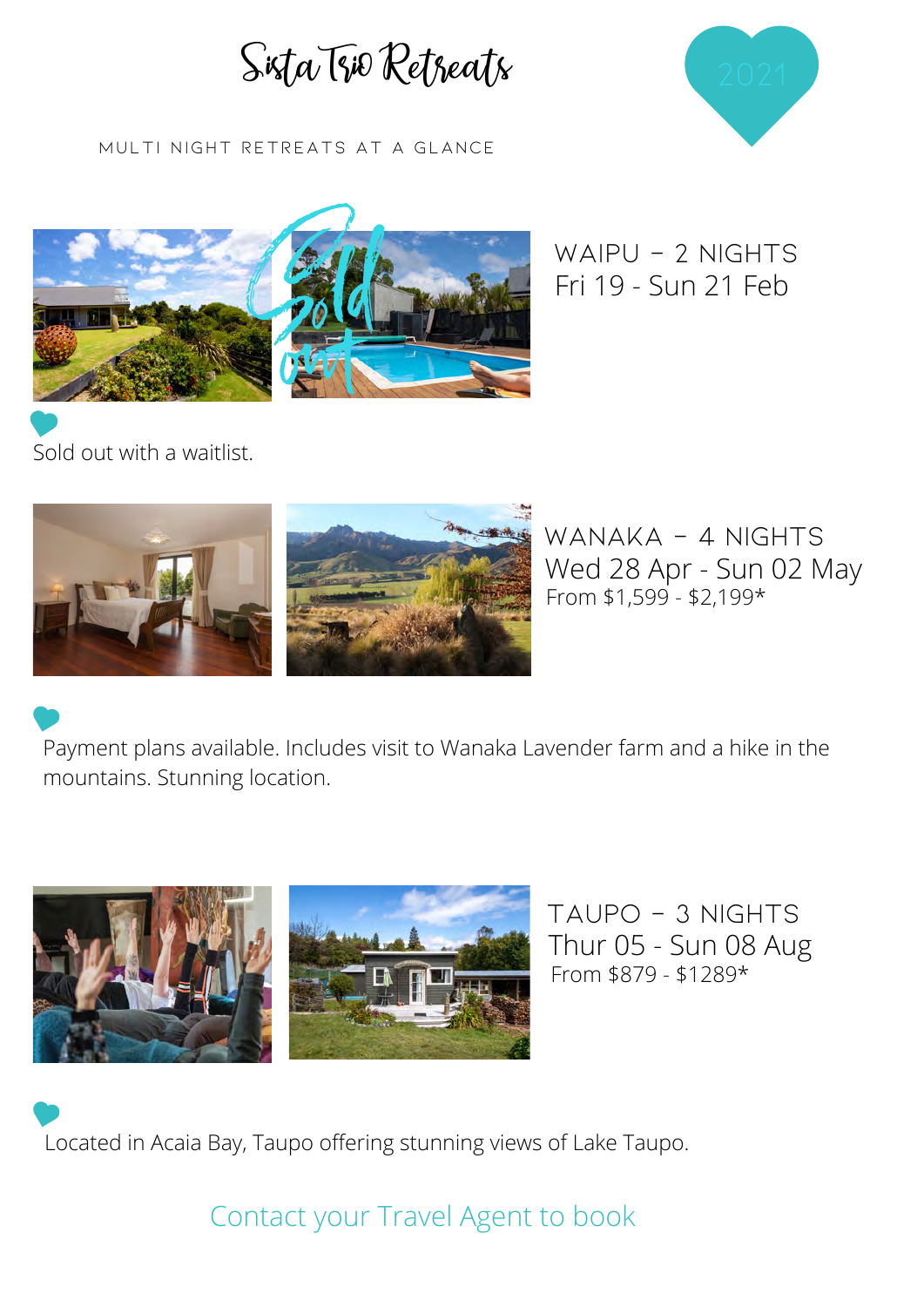



MULTI NIGHT RETREATS AT A GLANCE



WAIPU - 2 NIGHTS Fri 19 - Sun 21 Feb

Sold out with a waitlist.





wANAKA - 4 nights Wed 28 Apr - Sun 02 May From  $$1,599 - $2,199*$ 

Payment plans available. Includes visit to Wanaka Lavender farm and a hike in the mountains. Stunning location.



TAUPO - 3 nights Thur 05 - Sun 08 Aug From \$879 - \$1289\*

Located in Acaia Bay, Taupo offering stunning views of Lake Taupo.

Contact your Travel Agent to book